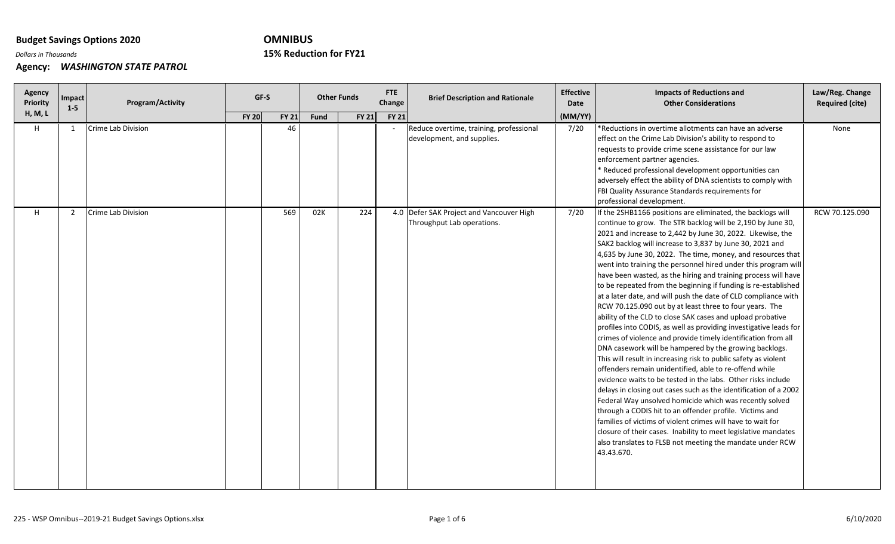# **OMNIBUS**

**Reduction for FY21**

*Dollars in Thousands* **15%**

| Agency<br>Priority | Impact<br>$1-5$ | Program/Activity   | GF-S                         | <b>Other Funds</b> |       | FTE<br>Change | <b>Brief Description and Rationale</b>                                 | <b>Effective</b><br>Date | <b>Impacts of Reductions and</b><br><b>Other Considerations</b>                                                                                                                                                                                                                                                                                                                                                                                                                                                                                                                                                                                                                                                                                                                                                                                                                                                                                                                                                                                                                                                                                                                                                                                                                                                                                                                                                                                                                                                         | Law/Reg. Change<br><b>Required (cite)</b> |
|--------------------|-----------------|--------------------|------------------------------|--------------------|-------|---------------|------------------------------------------------------------------------|--------------------------|-------------------------------------------------------------------------------------------------------------------------------------------------------------------------------------------------------------------------------------------------------------------------------------------------------------------------------------------------------------------------------------------------------------------------------------------------------------------------------------------------------------------------------------------------------------------------------------------------------------------------------------------------------------------------------------------------------------------------------------------------------------------------------------------------------------------------------------------------------------------------------------------------------------------------------------------------------------------------------------------------------------------------------------------------------------------------------------------------------------------------------------------------------------------------------------------------------------------------------------------------------------------------------------------------------------------------------------------------------------------------------------------------------------------------------------------------------------------------------------------------------------------------|-------------------------------------------|
| <b>H, M, L</b>     |                 |                    | <b>FY 20</b><br><b>FY 21</b> | Fund               | FY 21 | <b>FY 21</b>  |                                                                        | (MM/YY)                  |                                                                                                                                                                                                                                                                                                                                                                                                                                                                                                                                                                                                                                                                                                                                                                                                                                                                                                                                                                                                                                                                                                                                                                                                                                                                                                                                                                                                                                                                                                                         |                                           |
| H.                 | 1               | Crime Lab Division | 46                           |                    |       |               | Reduce overtime, training, professional<br>development, and supplies.  | 7/20                     | *Reductions in overtime allotments can have an adverse<br>effect on the Crime Lab Division's ability to respond to<br>requests to provide crime scene assistance for our law<br>enforcement partner agencies.<br>* Reduced professional development opportunities can<br>adversely effect the ability of DNA scientists to comply with<br>FBI Quality Assurance Standards requirements for<br>professional development.                                                                                                                                                                                                                                                                                                                                                                                                                                                                                                                                                                                                                                                                                                                                                                                                                                                                                                                                                                                                                                                                                                 | None                                      |
| H.                 | 2               | Crime Lab Division | 569                          | 02K                | 224   |               | 4.0 Defer SAK Project and Vancouver High<br>Throughput Lab operations. | 7/20                     | If the 2SHB1166 positions are eliminated, the backlogs will<br>continue to grow. The STR backlog will be 2,190 by June 30,<br>2021 and increase to 2,442 by June 30, 2022. Likewise, the<br>SAK2 backlog will increase to 3,837 by June 30, 2021 and<br>4,635 by June 30, 2022. The time, money, and resources that<br>went into training the personnel hired under this program will<br>have been wasted, as the hiring and training process will have<br>to be repeated from the beginning if funding is re-established<br>at a later date, and will push the date of CLD compliance with<br>RCW 70.125.090 out by at least three to four years. The<br>ability of the CLD to close SAK cases and upload probative<br>profiles into CODIS, as well as providing investigative leads for<br>crimes of violence and provide timely identification from all<br>DNA casework will be hampered by the growing backlogs.<br>This will result in increasing risk to public safety as violent<br>offenders remain unidentified, able to re-offend while<br>evidence waits to be tested in the labs. Other risks include<br>delays in closing out cases such as the identification of a 2002<br>Federal Way unsolved homicide which was recently solved<br>through a CODIS hit to an offender profile. Victims and<br>families of victims of violent crimes will have to wait for<br>closure of their cases. Inability to meet legislative mandates<br>also translates to FLSB not meeting the mandate under RCW<br>43.43.670. | RCW 70.125.090                            |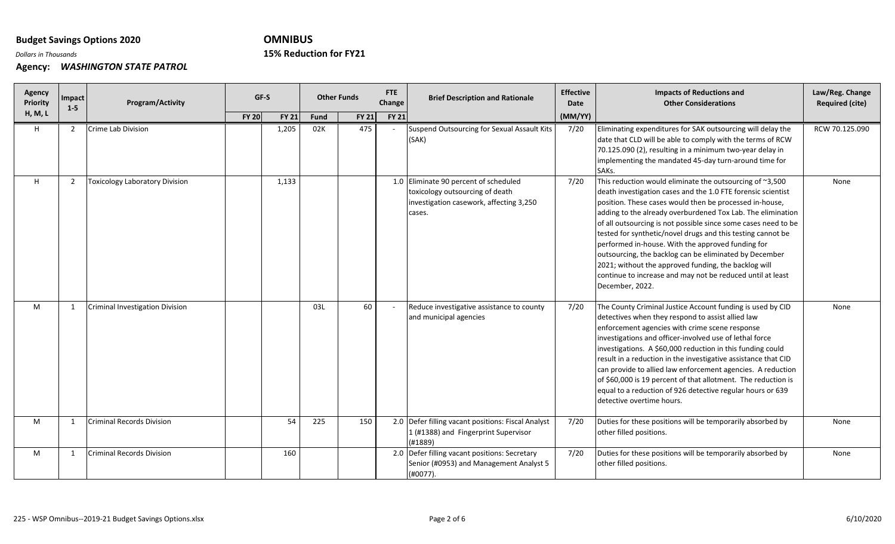# **OMNIBUS**

## **Reduction for FY21**

*Dollars in Thousands* **15%**

| Agency<br>Priority | Impact<br>$1-5$ | Program/Activity                      | GF-S         |              | <b>Other Funds</b> |              | <b>FTE</b><br>Change | <b>Brief Description and Rationale</b>                                                                                        | <b>Effective</b><br>Date | <b>Impacts of Reductions and</b><br><b>Other Considerations</b>                                                                                                                                                                                                                                                                                                                                                                                                                                                                                                                                                                             | Law/Reg. Change<br><b>Required (cite)</b> |
|--------------------|-----------------|---------------------------------------|--------------|--------------|--------------------|--------------|----------------------|-------------------------------------------------------------------------------------------------------------------------------|--------------------------|---------------------------------------------------------------------------------------------------------------------------------------------------------------------------------------------------------------------------------------------------------------------------------------------------------------------------------------------------------------------------------------------------------------------------------------------------------------------------------------------------------------------------------------------------------------------------------------------------------------------------------------------|-------------------------------------------|
| H, M, L            |                 |                                       | <b>FY 20</b> | <b>FY 21</b> | Fund               | <b>FY 21</b> | <b>FY 21</b>         |                                                                                                                               | (MM/YY)                  |                                                                                                                                                                                                                                                                                                                                                                                                                                                                                                                                                                                                                                             |                                           |
| H                  | $\overline{2}$  | Crime Lab Division                    |              | 1,205        | 02K                | 475          |                      | Suspend Outsourcing for Sexual Assault Kits<br>(SAK)                                                                          | 7/20                     | Eliminating expenditures for SAK outsourcing will delay the<br>date that CLD will be able to comply with the terms of RCW<br>70.125.090 (2), resulting in a minimum two-year delay in<br>implementing the mandated 45-day turn-around time for<br>SAKs.                                                                                                                                                                                                                                                                                                                                                                                     | RCW 70.125.090                            |
| H                  | 2               | <b>Toxicology Laboratory Division</b> |              | 1,133        |                    |              |                      | 1.0 Eliminate 90 percent of scheduled<br>toxicology outsourcing of death<br>investigation casework, affecting 3,250<br>cases. | 7/20                     | This reduction would eliminate the outsourcing of ~3,500<br>death investigation cases and the 1.0 FTE forensic scientist<br>position. These cases would then be processed in-house,<br>adding to the already overburdened Tox Lab. The elimination<br>of all outsourcing is not possible since some cases need to be<br>tested for synthetic/novel drugs and this testing cannot be<br>performed in-house. With the approved funding for<br>outsourcing, the backlog can be eliminated by December<br>2021; without the approved funding, the backlog will<br>continue to increase and may not be reduced until at least<br>December, 2022. | None                                      |
| м                  | $\mathbf{1}$    | Criminal Investigation Division       |              |              | 03L                | 60           |                      | Reduce investigative assistance to county<br>and municipal agencies                                                           | 7/20                     | The County Criminal Justice Account funding is used by CID<br>detectives when they respond to assist allied law<br>enforcement agencies with crime scene response<br>investigations and officer-involved use of lethal force<br>investigations. A \$60,000 reduction in this funding could<br>result in a reduction in the investigative assistance that CID<br>can provide to allied law enforcement agencies. A reduction<br>of \$60,000 is 19 percent of that allotment. The reduction is<br>equal to a reduction of 926 detective regular hours or 639<br>detective overtime hours.                                                     | None                                      |
| M                  | 1               | <b>Criminal Records Division</b>      |              | 54           | 225                | 150          |                      | 2.0 Defer filling vacant positions: Fiscal Analyst<br>1 (#1388) and Fingerprint Supervisor<br>(H1889)                         | 7/20                     | Duties for these positions will be temporarily absorbed by<br>other filled positions.                                                                                                                                                                                                                                                                                                                                                                                                                                                                                                                                                       | None                                      |
| M                  | -1              | <b>Criminal Records Division</b>      |              | 160          |                    |              |                      | 2.0 Defer filling vacant positions: Secretary<br>Senior (#0953) and Management Analyst 5<br>$(H0077)$ .                       | 7/20                     | Duties for these positions will be temporarily absorbed by<br>other filled positions.                                                                                                                                                                                                                                                                                                                                                                                                                                                                                                                                                       | None                                      |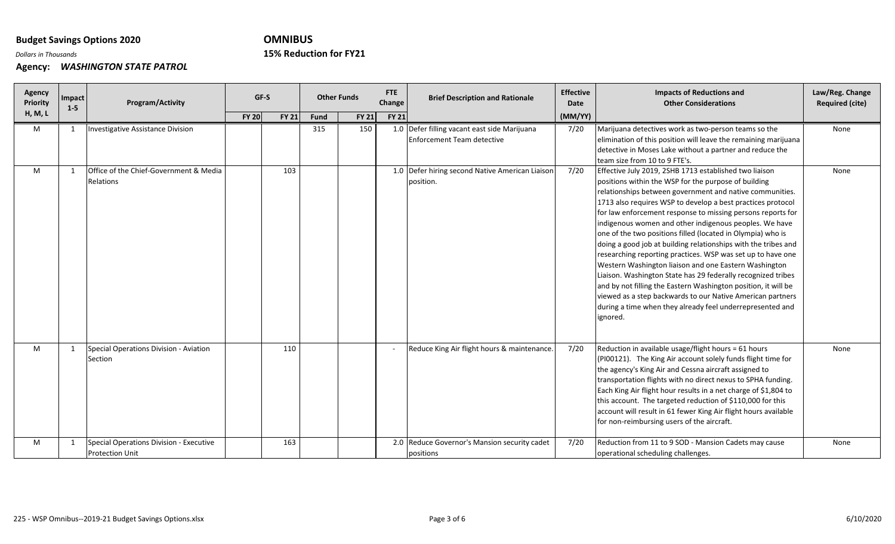# **OMNIBUS**

## **Reduction for FY21**

*Dollars in Thousands* **15%**

| Agency<br>Priority | Impact<br>$1 - 5$ | Program/Activity                                                  | GF-S         |              | <b>Other Funds</b> |              | <b>FTE</b><br>Change | <b>Brief Description and Rationale</b>                                     | <b>Effective</b><br>Date | <b>Impacts of Reductions and</b><br><b>Other Considerations</b>                                                                                                                                                                                                                                                                                                                                                                                                                                                                                                                                                                                                                                                                                                                                                                                                                                      | Law/Reg. Change<br><b>Required (cite)</b> |
|--------------------|-------------------|-------------------------------------------------------------------|--------------|--------------|--------------------|--------------|----------------------|----------------------------------------------------------------------------|--------------------------|------------------------------------------------------------------------------------------------------------------------------------------------------------------------------------------------------------------------------------------------------------------------------------------------------------------------------------------------------------------------------------------------------------------------------------------------------------------------------------------------------------------------------------------------------------------------------------------------------------------------------------------------------------------------------------------------------------------------------------------------------------------------------------------------------------------------------------------------------------------------------------------------------|-------------------------------------------|
| <b>H, M, L</b>     |                   |                                                                   | <b>FY 20</b> | <b>FY 21</b> | <b>Fund</b>        | <b>FY 21</b> | <b>FY 21</b>         |                                                                            | (MM/YY)                  |                                                                                                                                                                                                                                                                                                                                                                                                                                                                                                                                                                                                                                                                                                                                                                                                                                                                                                      |                                           |
| M                  |                   | Investigative Assistance Division                                 |              |              | 315                | 150          |                      | 1.0 Defer filling vacant east side Marijuana<br>Enforcement Team detective | 7/20                     | Marijuana detectives work as two-person teams so the<br>elimination of this position will leave the remaining marijuana<br>detective in Moses Lake without a partner and reduce the<br>team size from 10 to 9 FTE's.                                                                                                                                                                                                                                                                                                                                                                                                                                                                                                                                                                                                                                                                                 | None                                      |
| M                  |                   | Office of the Chief-Government & Media<br><b>Relations</b>        |              | 103          |                    |              |                      | 1.0 Defer hiring second Native American Liaison<br>position.               | 7/20                     | Effective July 2019, 2SHB 1713 established two liaison<br>positions within the WSP for the purpose of building<br>relationships between government and native communities.<br>1713 also requires WSP to develop a best practices protocol<br>for law enforcement response to missing persons reports for<br>indigenous women and other indigenous peoples. We have<br>one of the two positions filled (located in Olympia) who is<br>doing a good job at building relationships with the tribes and<br>researching reporting practices. WSP was set up to have one<br>Western Washington liaison and one Eastern Washington<br>Liaison. Washington State has 29 federally recognized tribes<br>and by not filling the Eastern Washington position, it will be<br>viewed as a step backwards to our Native American partners<br>during a time when they already feel underrepresented and<br>ignored. | None                                      |
| M                  |                   | Special Operations Division - Aviation<br>Section                 |              | 110          |                    |              |                      | Reduce King Air flight hours & maintenance.                                | 7/20                     | Reduction in available usage/flight hours = 61 hours<br>(PI00121). The King Air account solely funds flight time for<br>the agency's King Air and Cessna aircraft assigned to<br>transportation flights with no direct nexus to SPHA funding.<br>Each King Air flight hour results in a net charge of \$1,804 to<br>this account. The targeted reduction of \$110,000 for this<br>account will result in 61 fewer King Air flight hours available<br>for non-reimbursing users of the aircraft.                                                                                                                                                                                                                                                                                                                                                                                                      | None                                      |
| M                  |                   | Special Operations Division - Executive<br><b>Protection Unit</b> |              | 163          |                    |              |                      | 2.0 Reduce Governor's Mansion security cadet<br>positions                  | 7/20                     | Reduction from 11 to 9 SOD - Mansion Cadets may cause<br>operational scheduling challenges.                                                                                                                                                                                                                                                                                                                                                                                                                                                                                                                                                                                                                                                                                                                                                                                                          | None                                      |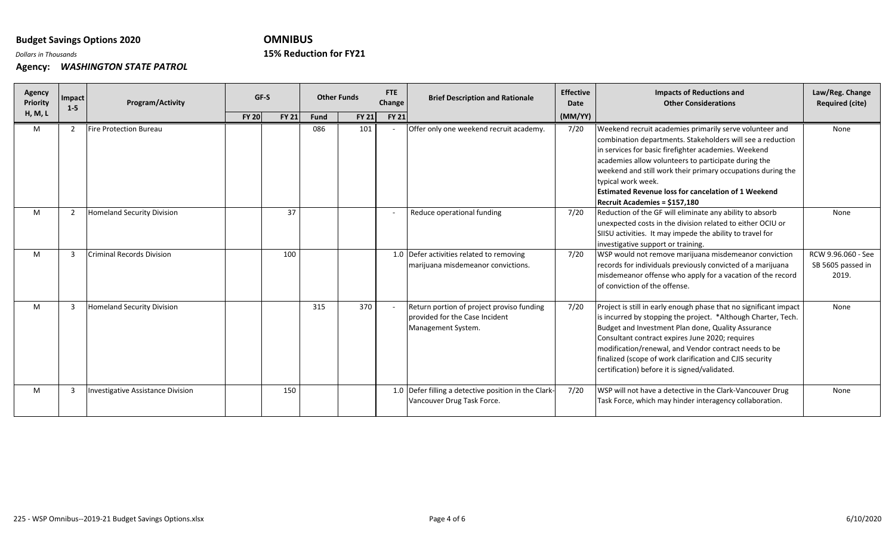# **OMNIBUS**

## **Reduction for FY21**

*Dollars in Thousands* **15%**

| Agency<br><b>Priority</b> | Impact<br>$1-5$ | Program/Activity                         | GF-S         |              | <b>Other Funds</b> |              | <b>FTE</b><br>Change | <b>Brief Description and Rationale</b>                                                            | <b>Effective</b><br>Date | <b>Impacts of Reductions and</b><br><b>Other Considerations</b>                                                                                                                                                                                                                                                                                                                                                                  | Law/Reg. Change<br><b>Required (cite)</b>        |
|---------------------------|-----------------|------------------------------------------|--------------|--------------|--------------------|--------------|----------------------|---------------------------------------------------------------------------------------------------|--------------------------|----------------------------------------------------------------------------------------------------------------------------------------------------------------------------------------------------------------------------------------------------------------------------------------------------------------------------------------------------------------------------------------------------------------------------------|--------------------------------------------------|
| H, M, L                   |                 |                                          | <b>FY 20</b> | <b>FY 21</b> | Fund               | <b>FY 21</b> | <b>FY 21</b>         |                                                                                                   | (MM/YY)                  |                                                                                                                                                                                                                                                                                                                                                                                                                                  |                                                  |
| M                         | 2               | <b>Fire Protection Bureau</b>            |              |              | 086                | 101          |                      | Offer only one weekend recruit academy.                                                           | 7/20                     | Weekend recruit academies primarily serve volunteer and<br>combination departments. Stakeholders will see a reduction<br>in services for basic firefighter academies. Weekend<br>academies allow volunteers to participate during the<br>weekend and still work their primary occupations during the<br>typical work week.<br><b>Estimated Revenue loss for cancelation of 1 Weekend</b><br><b>Recruit Academies = \$157.180</b> | None                                             |
| M                         | $\overline{2}$  | <b>Homeland Security Division</b>        |              | 37           |                    |              |                      | Reduce operational funding                                                                        | 7/20                     | Reduction of the GF will eliminate any ability to absorb<br>unexpected costs in the division related to either OCIU or<br>SIISU activities. It may impede the ability to travel for<br>investigative support or training.                                                                                                                                                                                                        | None                                             |
| M                         | $\mathbf{B}$    | <b>Criminal Records Division</b>         |              | 100          |                    |              |                      | 1.0 Defer activities related to removing<br>marijuana misdemeanor convictions.                    | 7/20                     | WSP would not remove marijuana misdemeanor conviction<br>records for individuals previously convicted of a marijuana<br>misdemeanor offense who apply for a vacation of the record<br>of conviction of the offense.                                                                                                                                                                                                              | RCW 9.96.060 - See<br>SB 5605 passed in<br>2019. |
| M                         | 3               | <b>Homeland Security Division</b>        |              |              | 315                | 370          |                      | Return portion of project proviso funding<br>provided for the Case Incident<br>Management System. | 7/20                     | Project is still in early enough phase that no significant impact<br>is incurred by stopping the project. *Although Charter, Tech.<br>Budget and Investment Plan done, Quality Assurance<br>Consultant contract expires June 2020; requires<br>modification/renewal, and Vendor contract needs to be<br>finalized (scope of work clarification and CJIS security<br>certification) before it is signed/validated.                | None                                             |
| M                         | 3               | <b>Investigative Assistance Division</b> |              | 150          |                    |              |                      | 1.0 Defer filling a detective position in the Clark-<br>Vancouver Drug Task Force.                | 7/20                     | WSP will not have a detective in the Clark-Vancouver Drug<br>Task Force, which may hinder interagency collaboration.                                                                                                                                                                                                                                                                                                             | None                                             |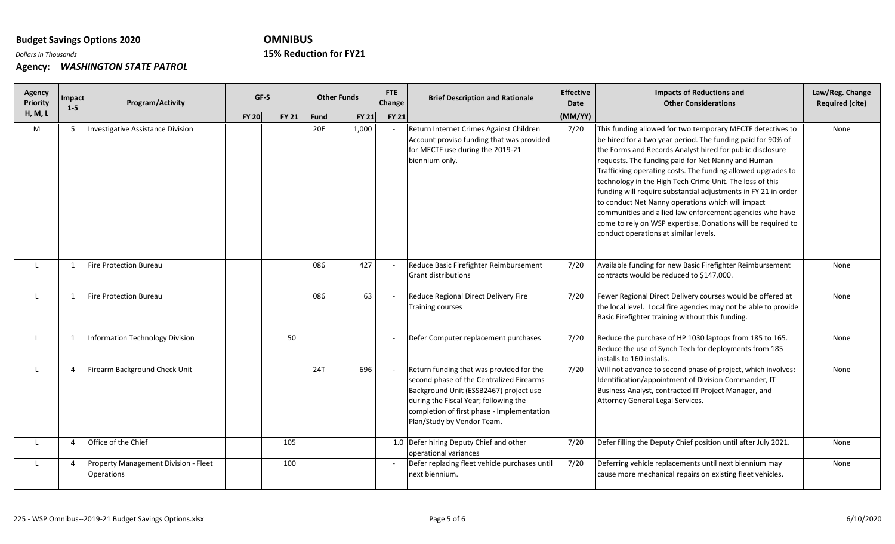# **OMNIBUS**

## **Reduction for FY21**

*Dollars in Thousands* **15%**

| Agency<br>Priority | Impact<br>$1-5$ | Program/Activity                                   |              | GF-S         |             | <b>Other Funds</b> | <b>FTE</b><br>Change | <b>Brief Description and Rationale</b>                                                                                                                                                                                                              | <b>Effective</b><br>Date | <b>Impacts of Reductions and</b><br><b>Other Considerations</b>                                                                                                                                                                                                                                                                                                                                                                                                                                                                                                                                                                                                      | Law/Reg. Change<br><b>Required (cite)</b> |
|--------------------|-----------------|----------------------------------------------------|--------------|--------------|-------------|--------------------|----------------------|-----------------------------------------------------------------------------------------------------------------------------------------------------------------------------------------------------------------------------------------------------|--------------------------|----------------------------------------------------------------------------------------------------------------------------------------------------------------------------------------------------------------------------------------------------------------------------------------------------------------------------------------------------------------------------------------------------------------------------------------------------------------------------------------------------------------------------------------------------------------------------------------------------------------------------------------------------------------------|-------------------------------------------|
| H, M, L            |                 |                                                    | <b>FY 20</b> | <b>FY 21</b> | <b>Fund</b> | <b>FY 21</b>       | <b>FY 21</b>         |                                                                                                                                                                                                                                                     | (MM/YY)                  |                                                                                                                                                                                                                                                                                                                                                                                                                                                                                                                                                                                                                                                                      |                                           |
| M                  | 5               | <b>Investigative Assistance Division</b>           |              |              | 20E         | 1,000              |                      | Return Internet Crimes Against Children<br>Account proviso funding that was provided<br>for MECTF use during the 2019-21<br>biennium only.                                                                                                          | 7/20                     | This funding allowed for two temporary MECTF detectives to<br>be hired for a two year period. The funding paid for 90% of<br>the Forms and Records Analyst hired for public disclosure<br>requests. The funding paid for Net Nanny and Human<br>Trafficking operating costs. The funding allowed upgrades to<br>technology in the High Tech Crime Unit. The loss of this<br>funding will require substantial adjustments in FY 21 in order<br>to conduct Net Nanny operations which will impact<br>communities and allied law enforcement agencies who have<br>come to rely on WSP expertise. Donations will be required to<br>conduct operations at similar levels. | None                                      |
|                    | 1               | <b>Fire Protection Bureau</b>                      |              |              | 086         | 427                |                      | Reduce Basic Firefighter Reimbursement<br><b>Grant distributions</b>                                                                                                                                                                                | 7/20                     | Available funding for new Basic Firefighter Reimbursement<br>contracts would be reduced to \$147,000.                                                                                                                                                                                                                                                                                                                                                                                                                                                                                                                                                                | None                                      |
|                    |                 | <b>Fire Protection Bureau</b>                      |              |              | 086         | 63                 |                      | Reduce Regional Direct Delivery Fire<br><b>Training courses</b>                                                                                                                                                                                     | 7/20                     | Fewer Regional Direct Delivery courses would be offered at<br>the local level. Local fire agencies may not be able to provide<br>Basic Firefighter training without this funding.                                                                                                                                                                                                                                                                                                                                                                                                                                                                                    | None                                      |
|                    | 1               | <b>Information Technology Division</b>             |              | 50           |             |                    |                      | Defer Computer replacement purchases                                                                                                                                                                                                                | 7/20                     | Reduce the purchase of HP 1030 laptops from 185 to 165.<br>Reduce the use of Synch Tech for deployments from 185<br>installs to 160 installs.                                                                                                                                                                                                                                                                                                                                                                                                                                                                                                                        | None                                      |
|                    | $\overline{a}$  | Firearm Background Check Unit                      |              |              | 24T         | 696                |                      | Return funding that was provided for the<br>second phase of the Centralized Firearms<br>Background Unit (ESSB2467) project use<br>during the Fiscal Year; following the<br>completion of first phase - Implementation<br>Plan/Study by Vendor Team. | 7/20                     | Will not advance to second phase of project, which involves:<br>Identification/appointment of Division Commander, IT<br>Business Analyst, contracted IT Project Manager, and<br>Attorney General Legal Services.                                                                                                                                                                                                                                                                                                                                                                                                                                                     | None                                      |
|                    | $\overline{4}$  | Office of the Chief                                |              | 105          |             |                    |                      | 1.0 Defer hiring Deputy Chief and other<br>operational variances                                                                                                                                                                                    | 7/20                     | Defer filling the Deputy Chief position until after July 2021.                                                                                                                                                                                                                                                                                                                                                                                                                                                                                                                                                                                                       | None                                      |
|                    | $\overline{4}$  | Property Management Division - Fleet<br>Operations |              | 100          |             |                    |                      | Defer replacing fleet vehicle purchases until<br>next biennium.                                                                                                                                                                                     | 7/20                     | Deferring vehicle replacements until next biennium may<br>cause more mechanical repairs on existing fleet vehicles.                                                                                                                                                                                                                                                                                                                                                                                                                                                                                                                                                  | None                                      |